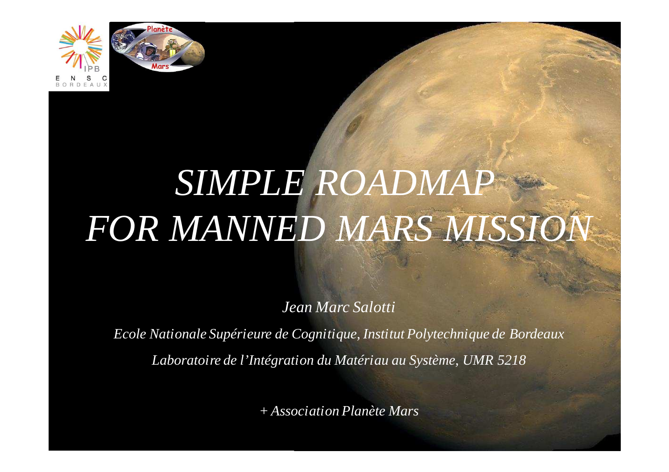



# *SIMPLE ROADMAPFOR MANNED MARS MISSION*

*Jean Marc Salotti*

*Ecole Nationale Supérieure de Cognitique, Institut Polytechnique de BordeauxLaboratoire de l'Intégration du Matériau au Système, UMR 5218*

*+ Association Planète Mars*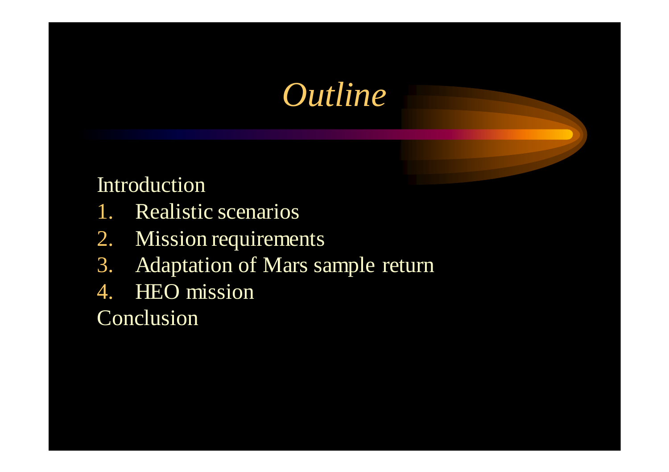#### *Outline*

#### Introduction

- 1. Realistic scenarios
- 2. Mission requirements
- 3. Adaptation of Mars sample return
- 4. HEO mission

#### **Conclusion**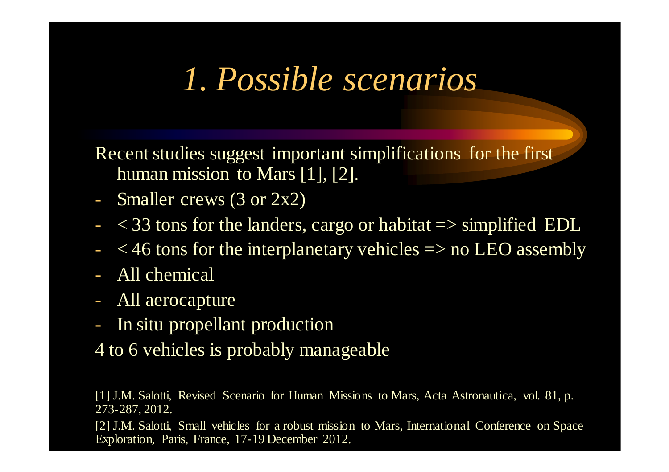#### *1. Possible scenarios*

Recent studies sugges<sup>t</sup> important simplifications for the first human mission to Mars [1], [2].

- Smaller crews (3 or 2x2)
- $-<$  33 tons for the landers, cargo or habitat  $\Rightarrow$  simplified EDL
- $<$  46 tons for the interplanetary vehicles  $\Rightarrow$  no LEO assembly
- All chemical
- All aerocapture
- In situ propellant production
- 4 to 6 vehicles is probably manageable

[1] J.M. Salotti, Revised Scenario for Human Missions to Mars, Acta Astronautica, vol. 81, p. 273-287, 2012.

[2] J.M. Salotti, Small vehicles for a robust mission to Mars, International Conference on Space Exploration, Paris, France, 17-19 December 2012.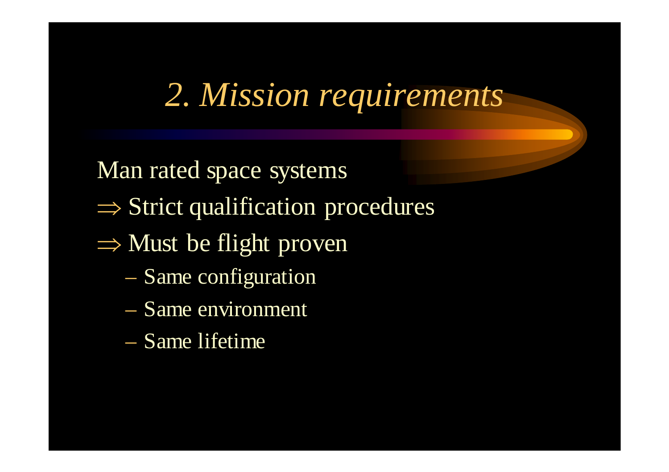# *2. Mission requirements*

Man rated space systems

- ⇒ Strict qualification procedures
- $\Rightarrow$  Must be flight proven
	- $\mathcal{L}_{\mathcal{A}}$ Same configuration
	- $\mathcal{L}_{\mathcal{A}}$ Same environment
	- $\mathcal{L}_{\mathcal{A}}$ Same lifetime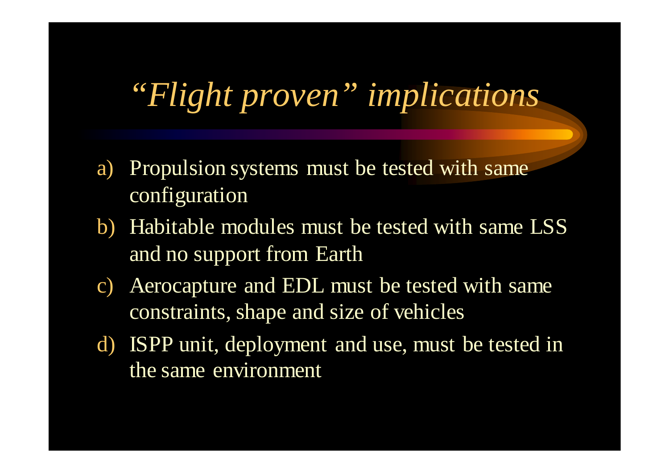### *"Flight proven" implications*

- a) Propulsion systems must be tested with same configuration
- b) Habitable modules must be tested with same LSS and no support from Earth
- c) Aerocapture and EDL must be tested with same constraints, shape and size of vehicles
- d) ISPP unit, deployment and use, must be tested in the same environment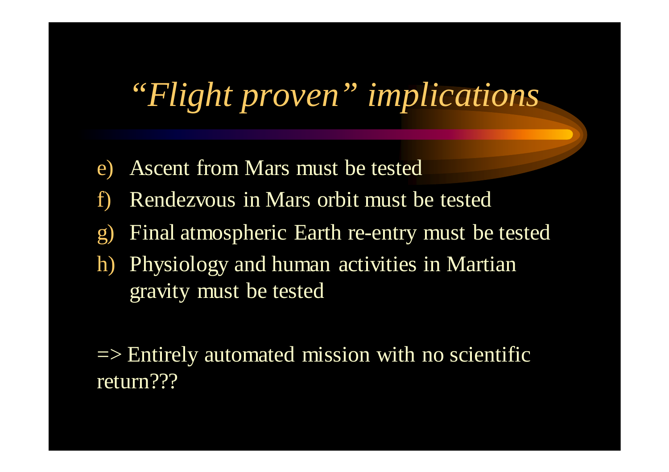## *"Flight proven" implications*

- e)Ascent from Mars must be tested
- f)Rendezvous in Mars orbit must be tested
- g)Final atmospheric Earth re-entry must be tested
- h) Physiology and human activities in Martian gravity must be tested

 $\Rightarrow$  Entirely automated mission with no scientific return???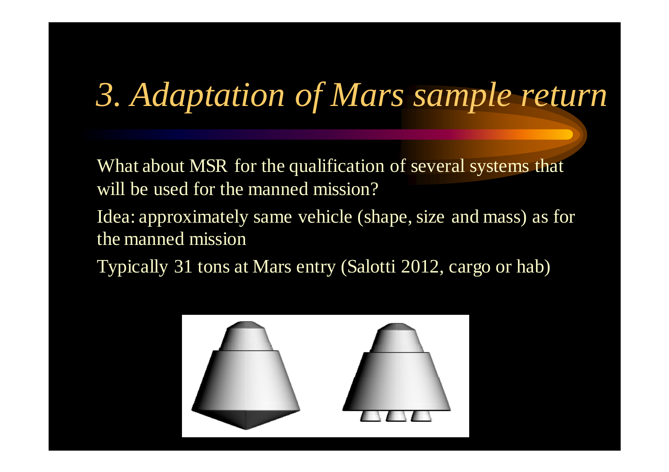# *3. Adaptation of Mars sample return*

What about MSR for the qualification of several systems that will be used for the manned mission?

Idea: approximately same vehicle (shape, size and mass) as for the manned mission

Typically 31 tons at Mars entry (Salotti 2012, cargo or hab)

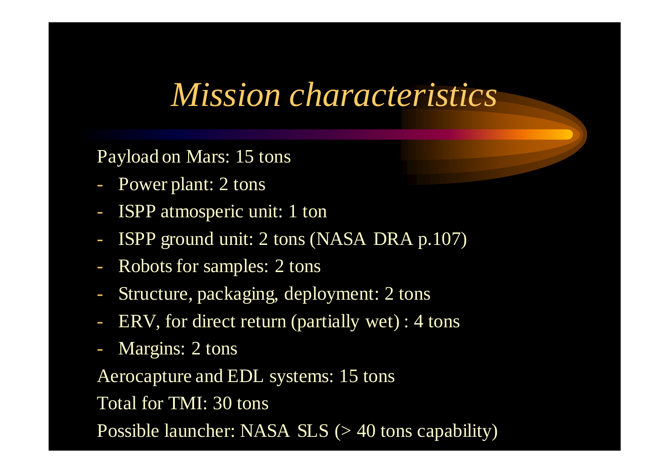#### *Mission characteristics*

Payload on Mars: 15 tons

- Power plant: 2 tons
- ISPP atmosperic unit: 1 ton
- ISPP ground unit: 2 tons (NASA DRA p.107)
- $\mathcal{L}^{\text{max}}_{\text{max}}$ Robots for samples: 2 tons
- Structure, packaging, deployment: 2 tons
- ERV, for direct return (partially wet) : 4 tons
- Margins: 2 tons

Aerocapture and EDL systems: 15 tons

Total for TMI: 30 tons

Possible launcher: NASA  $SLS$  ( $>$  40 tons capability)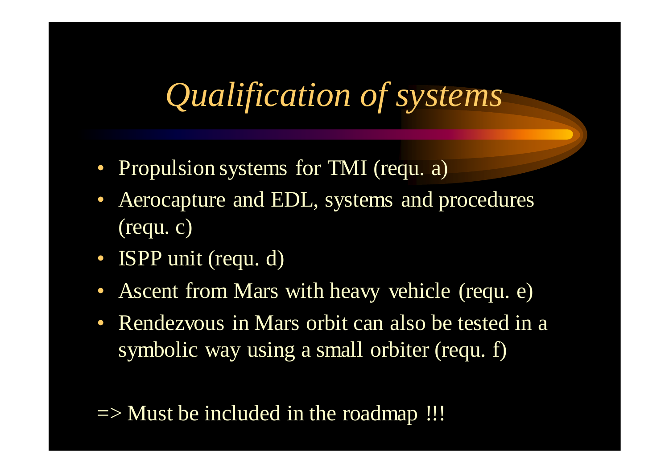# *Qualification of systems*

- Propulsion systems for TMI (requ. a)
- • Aerocapture and EDL, systems and procedures (requ. c)
- ISPP unit (requ. d)
- Ascent from Mars with heavy vehicle (requ. e)
- Rendezvous in Mars orbit can also be tested in a symbolic way using a small orbiter (requ. f)

 $\Rightarrow$  Must be included in the roadmap !!!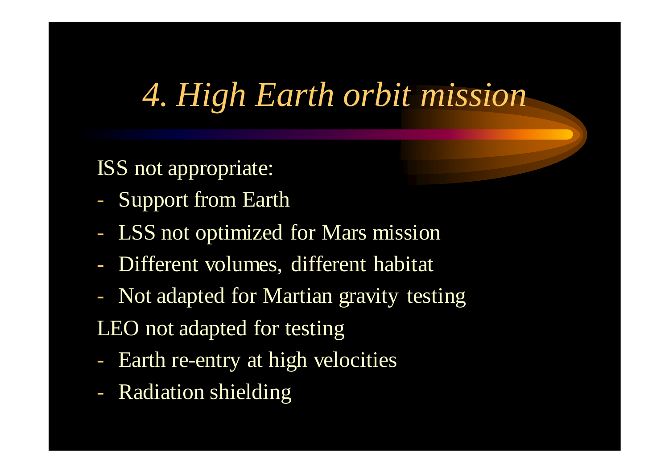#### *4. High Earth orbit mission*

ISS not appropriate:

- -Support from Earth
- $\mathcal{L}^{\text{max}}_{\text{max}}$ LSS not optimized for Mars mission
- -Different volumes, different habitat
- - Not adapted for Martian gravity testingLEO not adapted for testing
- -- Earth re-entry at high velocities
- $\mathcal{L}^{\text{max}}_{\text{max}}$ Radiation shielding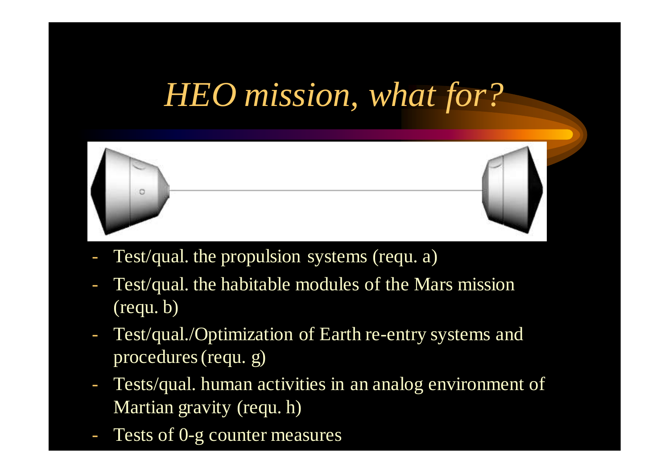### *HEO mission, what for?*



- Test/qual. the propulsion systems (requ. a)
- Test/qual. the habitable modules of the Mars mission (requ. b)
- - Test/qual./Optimization of Earth re-entry systems and procedures (requ. g)
- - Tests/qual. human activities in an analog environment of Martian gravity (requ. h)
- Tests of 0-g counter measures